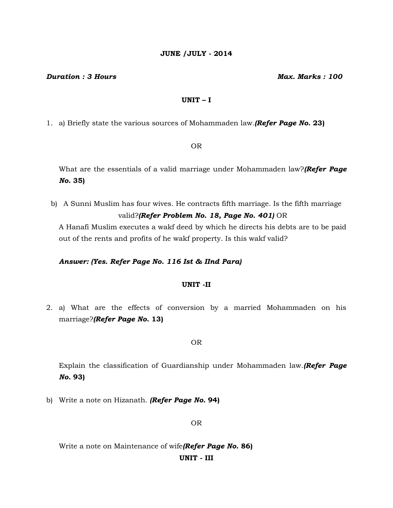# **JUNE /JULY - 2014**

#### *Duration : 3 Hours Max. Marks : 100*

# **UNIT – I**

1. a) Briefly state the various sources of Mohammaden law.*(Refer Page No.* **23)**

OR

What are the essentials of a valid marriage under Mohammaden law?*(Refer Page No.* **35)**

b) A Sunni Muslim has four wives. He contracts fifth marriage. Is the fifth marriage valid?*(Refer Problem No. 18, Page No. 401)* OR

A Hanafi Muslim executes a wakf deed by which he directs his debts are to be paid out of the rents and profits of he wakf property. Is this wakf valid?

# *Answer: (Yes. Refer Page No. 116 Ist & IInd Para)*

# **UNIT -II**

2. a) What are the effects of conversion by a married Mohammaden on his marriage?*(Refer Page No.* **13)**

OR

Explain the classification of Guardianship under Mohammaden law.*(Refer Page No.* **93)**

b) Write a note on Hizanath. *(Refer Page No.* **94)**

OR

Write a note on Maintenance of wife*(Refer Page No.* **86) UNIT - III**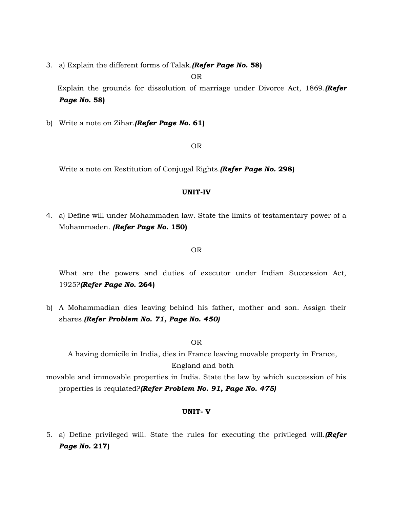3. a) Explain the different forms of Talak.*(Refer Page No.* **58)**

OR

 Explain the grounds for dissolution of marriage under Divorce Act, 1869.*(Refer Page No.* **58)**

b) Write a note on Zihar.*(Refer Page No.* **61)**

OR

Write a note on Restitution of Conjugal Rights.*(Refer Page No.* **298)**

# **UNIT-IV**

4. a) Define will under Mohammaden law. State the limits of testamentary power of a Mohammaden. *(Refer Page No.* **150)**

#### OR

What are the powers and duties of executor under Indian Succession Act, 1925?*(Refer Page No.* **264)**

b) A Mohammadian dies leaving behind his father, mother and son. Assign their shares.*(Refer Problem No. 71, Page No. 450)*

OR

A having domicile in India, dies in France leaving movable property in France, England and both

movable and immovable properties in India. State the law by which succession of his properties is requlated?*(Refer Problem No. 91, Page No. 475)*

#### **UNIT- V**

5. a) Define privileged will. State the rules for executing the privileged will.*(Refer Page No.* **217)**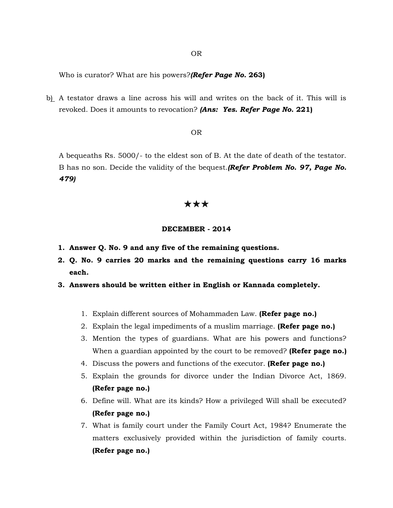OR

Who is curator? What are his powers?*(Refer Page No.* **263)**

b) A testator draws a line across his will and writes on the back of it. This will is revoked. Does it amounts to revocation? *(Ans: Yes. Refer Page No.* **221)**

#### OR

A bequeaths Rs. 5000/- to the eldest son of B. At the date of death of the testator. B has no son. Decide the validity of the bequest.*(Refer Problem No. 97, Page No. 479)*

# \*\*\*

### **DECEMBER - 2014**

- **1. Answer Q. No. 9 and any five of the remaining questions.**
- **2. Q. No. 9 carries 20 marks and the remaining questions carry 16 marks each.**
- **3. Answers should be written either in English or Kannada completely.**
	- 1. Explain different sources of Mohammaden Law. **(Refer page no.)**
	- 2. Explain the legal impediments of a muslim marriage. **(Refer page no.)**
	- 3. Mention the types of guardians. What are his powers and functions? When a guardian appointed by the court to be removed? **(Refer page no.)**
	- 4. Discuss the powers and functions of the executor. **(Refer page no.)**
	- 5. Explain the grounds for divorce under the Indian Divorce Act, 1869. **(Refer page no.)**
	- 6. Define will. What are its kinds? How a privileged Will shall be executed? **(Refer page no.)**
	- 7. What is family court under the Family Court Act, 1984? Enumerate the matters exclusively provided within the jurisdiction of family courts. **(Refer page no.)**